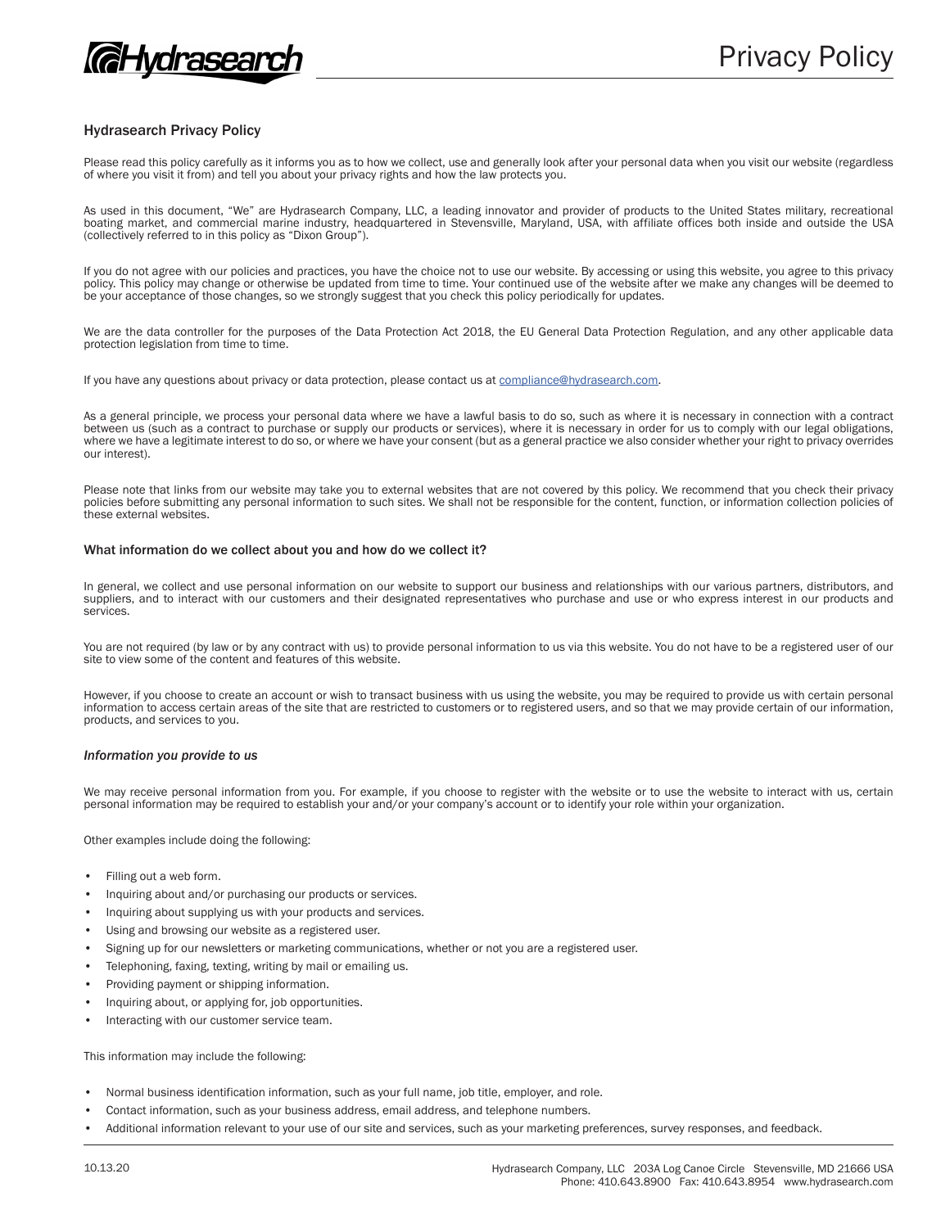

# Hydrasearch Privacy Policy

Please read this policy carefully as it informs you as to how we collect, use and generally look after your personal data when you visit our website (regardless of where you visit it from) and tell you about your privacy rights and how the law protects you.

As used in this document, "We" are Hydrasearch Company, LLC, a leading innovator and provider of products to the United States military, recreational boating market, and commercial marine industry, headquartered in Stevensville, Maryland, USA, with affiliate offices both inside and outside the USA (collectively referred to in this policy as "Dixon Group").

If you do not agree with our policies and practices, you have the choice not to use our website. By accessing or using this website, you agree to this privacy policy. This policy may change or otherwise be updated from time to time. Your continued use of the website after we make any changes will be deemed to be your acceptance of those changes, so we strongly suggest that you check this policy periodically for updates.

We are the data controller for the purposes of the Data Protection Act 2018, the EU General Data Protection Regulation, and any other applicable data protection legislation from time to time.

If you have any questions about privacy or data protection, please contact us at compliance@hydrasearch.com.

As a general principle, we process your personal data where we have a lawful basis to do so, such as where it is necessary in connection with a contract between us (such as a contract to purchase or supply our products or services), where it is necessary in order for us to comply with our legal obligations, where we have a legitimate interest to do so, or where we have your consent (but as a general practice we also consider whether your right to privacy overrides our interest).

Please note that links from our website may take you to external websites that are not covered by this policy. We recommend that you check their privacy policies before submitting any personal information to such sites. We shall not be responsible for the content, function, or information collection policies of these external websites.

### What information do we collect about you and how do we collect it?

In general, we collect and use personal information on our website to support our business and relationships with our various partners, distributors, and suppliers, and to interact with our customers and their designated representatives who purchase and use or who express interest in our products and services.

You are not required (by law or by any contract with us) to provide personal information to us via this website. You do not have to be a registered user of our site to view some of the content and features of this website.

However, if you choose to create an account or wish to transact business with us using the website, you may be required to provide us with certain personal information to access certain areas of the site that are restricted to customers or to registered users, and so that we may provide certain of our information, products, and services to you.

# *Information you provide to us*

We may receive personal information from you. For example, if you choose to register with the website or to use the website to interact with us, certain personal information may be required to establish your and/or your company's account or to identify your role within your organization.

Other examples include doing the following:

- Filling out a web form.
- Inquiring about and/or purchasing our products or services.
- Inquiring about supplying us with your products and services.
- Using and browsing our website as a registered user.
- Signing up for our newsletters or marketing communications, whether or not you are a registered user.
- Telephoning, faxing, texting, writing by mail or emailing us.
- Providing payment or shipping information.
- Inquiring about, or applying for, job opportunities.
- Interacting with our customer service team.

This information may include the following:

- Normal business identification information, such as your full name, job title, employer, and role.
- Contact information, such as your business address, email address, and telephone numbers.
- Additional information relevant to your use of our site and services, such as your marketing preferences, survey responses, and feedback.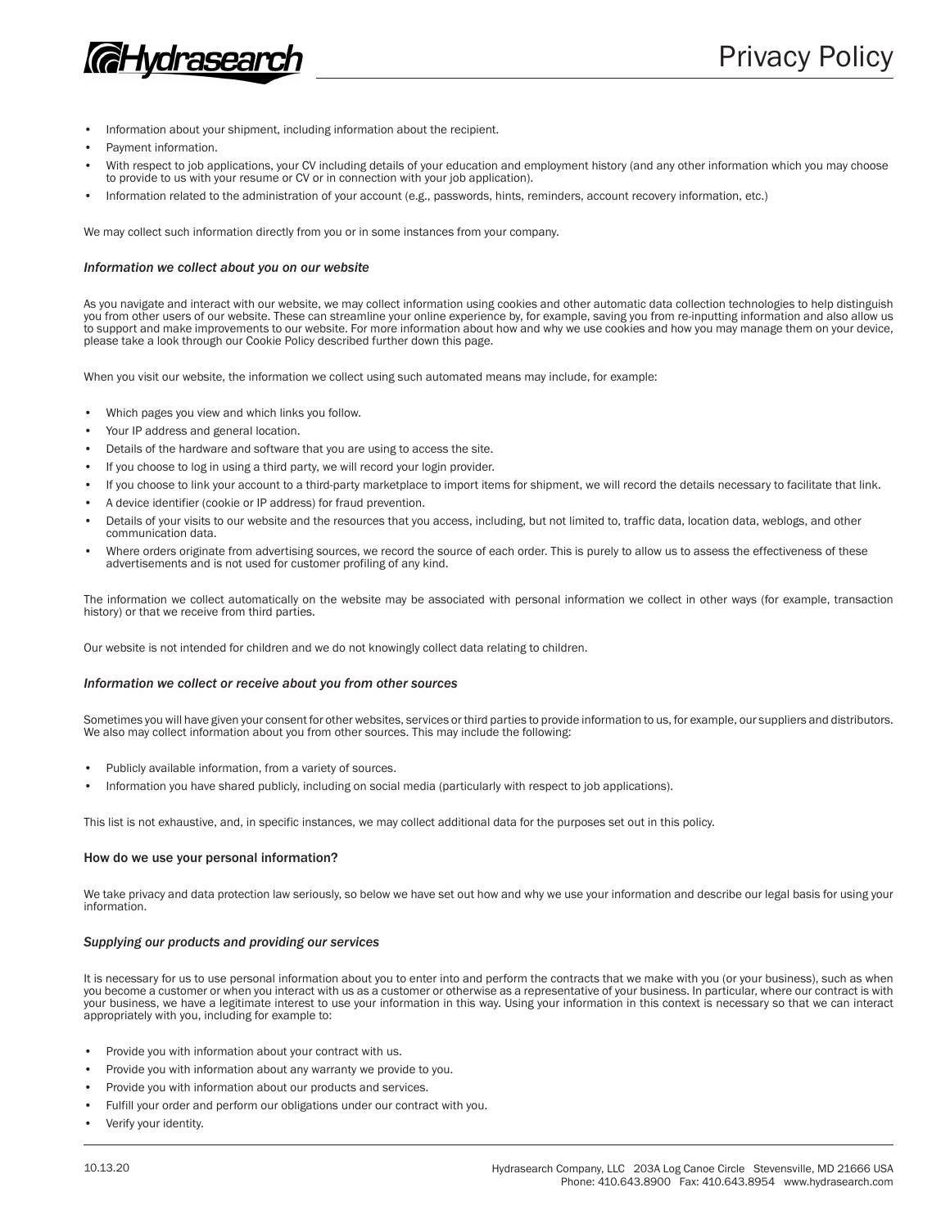

- Information about your shipment, including information about the recipient.
- Payment information.
- With respect to job applications, your CV including details of your education and employment history (and any other information which you may choose to provide to us with your resume or CV or in connection with your job application).
- Information related to the administration of your account (e.g., passwords, hints, reminders, account recovery information, etc.)

We may collect such information directly from you or in some instances from your company.

#### *Information we collect about you on our website*

As you navigate and interact with our website, we may collect information using cookies and other automatic data collection technologies to help distinguish you from other users of our website. These can streamline your online experience by, for example, saving you from re-inputting information and also allow us to support and make improvements to our website. For more information about how and why we use cookies and how you may manage them on your device, please take a look through our Cookie Policy described further down this page.

When you visit our website, the information we collect using such automated means may include, for example:

- Which pages you view and which links you follow.
- Your IP address and general location.
- Details of the hardware and software that you are using to access the site.
- If you choose to log in using a third party, we will record your login provider.
- If you choose to link your account to a third-party marketplace to import items for shipment, we will record the details necessary to facilitate that link.
- A device identifier (cookie or IP address) for fraud prevention.
- Details of your visits to our website and the resources that you access, including, but not limited to, traffic data, location data, weblogs, and other communication data.
- Where orders originate from advertising sources, we record the source of each order. This is purely to allow us to assess the effectiveness of these advertisements and is not used for customer profiling of any kind.

The information we collect automatically on the website may be associated with personal information we collect in other ways (for example, transaction history) or that we receive from third parties.

Our website is not intended for children and we do not knowingly collect data relating to children.

### *Information we collect or receive about you from other sources*

Sometimes you will have given your consent for other websites, services or third parties to provide information to us, for example, our suppliers and distributors. We also may collect information about you from other sources. This may include the following:

- Publicly available information, from a variety of sources.
- Information you have shared publicly, including on social media (particularly with respect to job applications).

This list is not exhaustive, and, in specific instances, we may collect additional data for the purposes set out in this policy.

## How do we use your personal information?

We take privacy and data protection law seriously, so below we have set out how and why we use your information and describe our legal basis for using your information.

## *Supplying our products and providing our services*

It is necessary for us to use personal information about you to enter into and perform the contracts that we make with you (or your business), such as when you become a customer or when you interact with us as a customer or otherwise as a representative of your business. In particular, where our contract is with your business, we have a legitimate interest to use your information in this way. Using your information in this context is necessary so that we can interact appropriately with you, including for example to:

- Provide you with information about your contract with us.
- Provide you with information about any warranty we provide to you.
- Provide you with information about our products and services.
- Fulfill your order and perform our obligations under our contract with you.
- Verify your identity.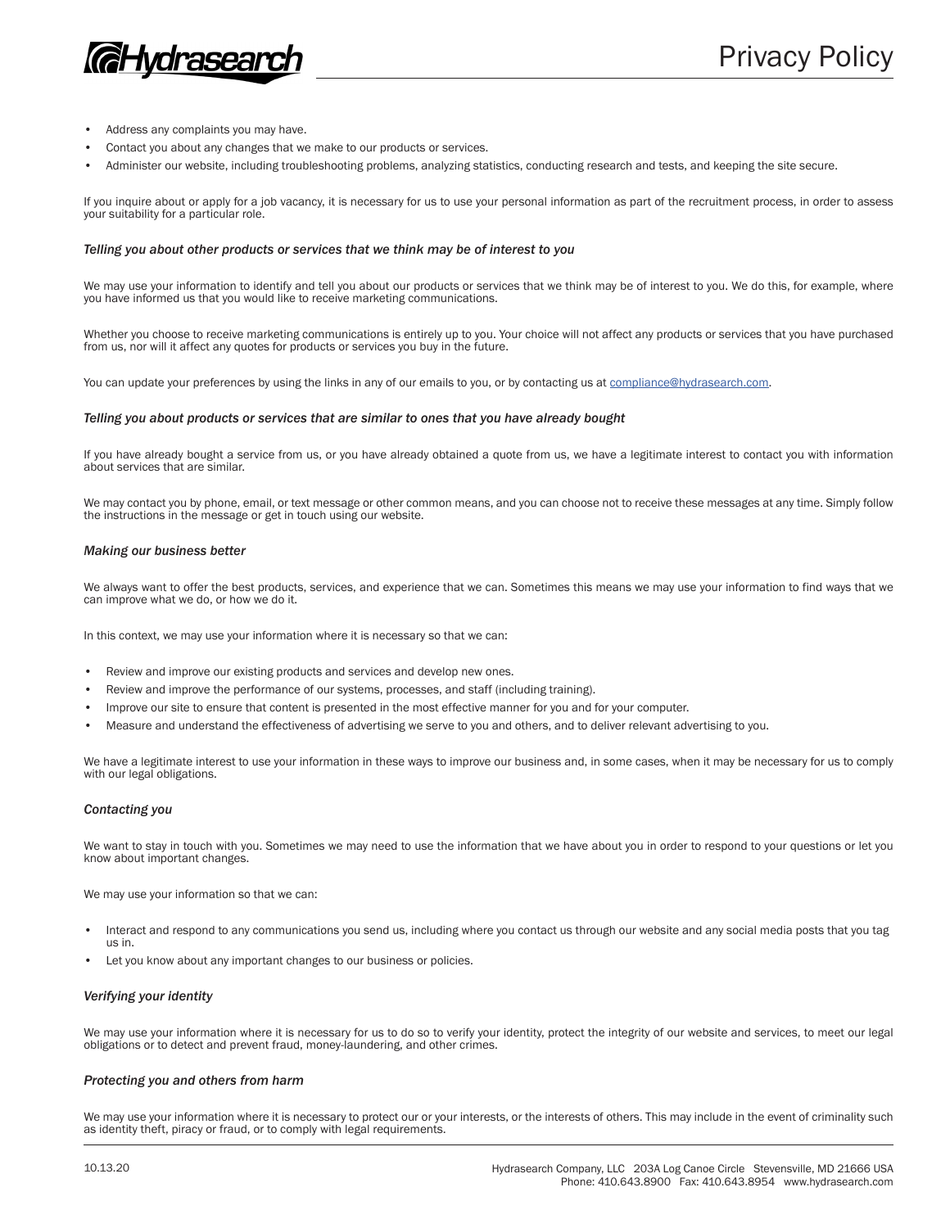

- Address any complaints you may have.
- Contact you about any changes that we make to our products or services.
- Administer our website, including troubleshooting problems, analyzing statistics, conducting research and tests, and keeping the site secure.

If you inquire about or apply for a job vacancy, it is necessary for us to use your personal information as part of the recruitment process, in order to assess your suitability for a particular role.

# *Telling you about other products or services that we think may be of interest to you*

We may use your information to identify and tell you about our products or services that we think may be of interest to you. We do this, for example, where you have informed us that you would like to receive marketing communications.

Whether you choose to receive marketing communications is entirely up to you. Your choice will not affect any products or services that you have purchased from us, nor will it affect any quotes for products or services you buy in the future.

You can update your preferences by using the links in any of our emails to you, or by contacting us at compliance@hydrasearch.com.

#### *Telling you about products or services that are similar to ones that you have already bought*

If you have already bought a service from us, or you have already obtained a quote from us, we have a legitimate interest to contact you with information about services that are similar.

We may contact you by phone, email, or text message or other common means, and you can choose not to receive these messages at any time. Simply follow the instructions in the message or get in touch using our website.

# *Making our business better*

We always want to offer the best products, services, and experience that we can. Sometimes this means we may use your information to find ways that we can improve what we do, or how we do it.

In this context, we may use your information where it is necessary so that we can:

- Review and improve our existing products and services and develop new ones.
- Review and improve the performance of our systems, processes, and staff (including training).
- Improve our site to ensure that content is presented in the most effective manner for you and for your computer.
- Measure and understand the effectiveness of advertising we serve to you and others, and to deliver relevant advertising to you.

We have a legitimate interest to use your information in these ways to improve our business and, in some cases, when it may be necessary for us to comply with our legal obligations.

# *Contacting you*

We want to stay in touch with you. Sometimes we may need to use the information that we have about you in order to respond to your questions or let you know about important changes.

We may use your information so that we can:

- Interact and respond to any communications you send us, including where you contact us through our website and any social media posts that you tag us in.
- Let you know about any important changes to our business or policies.

# *Verifying your identity*

We may use your information where it is necessary for us to do so to verify your identity, protect the integrity of our website and services, to meet our legal obligations or to detect and prevent fraud, money-laundering, and other crimes.

# *Protecting you and others from harm*

We may use your information where it is necessary to protect our or your interests, or the interests of others. This may include in the event of criminality such as identity theft, piracy or fraud, or to comply with legal requirements.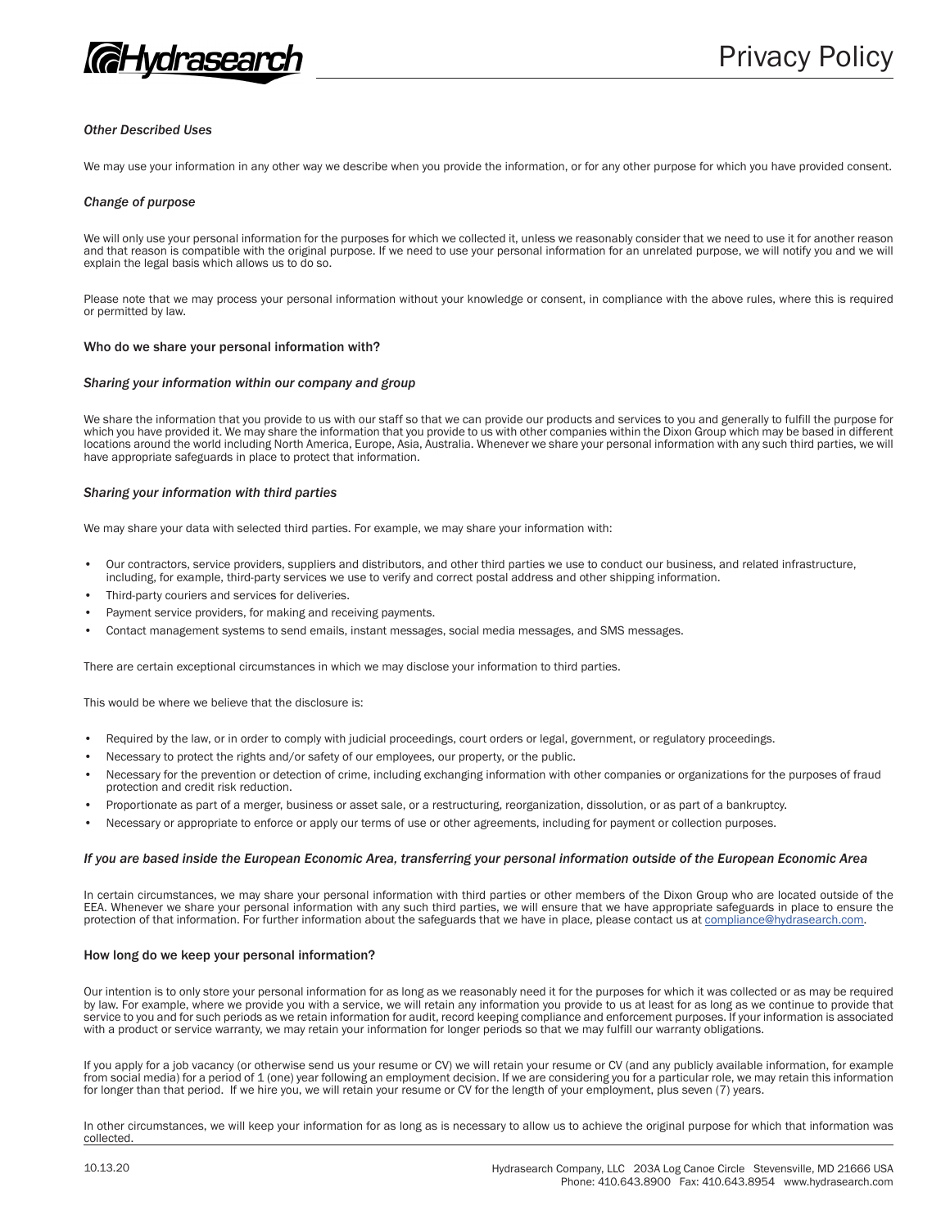

# *Other Described Uses*

We may use your information in any other way we describe when you provide the information, or for any other purpose for which you have provided consent.

# *Change of purpose*

We will only use your personal information for the purposes for which we collected it, unless we reasonably consider that we need to use it for another reason and that reason is compatible with the original purpose. If we need to use your personal information for an unrelated purpose, we will notify you and we will explain the legal basis which allows us to do so.

Please note that we may process your personal information without your knowledge or consent, in compliance with the above rules, where this is required or permitted by law.

### Who do we share your personal information with?

#### *Sharing your information within our company and group*

We share the information that you provide to us with our staff so that we can provide our products and services to you and generally to fulfill the purpose for which you have provided it. We may share the information that you provide to us with other companies within the Dixon Group which may be based in different locations around the world including North America, Europe, Asia, Australia. Whenever we share your personal information with any such third parties, we will have appropriate safeguards in place to protect that information.

### *Sharing your information with third parties*

We may share your data with selected third parties. For example, we may share your information with:

- Our contractors, service providers, suppliers and distributors, and other third parties we use to conduct our business, and related infrastructure, including, for example, third-party services we use to verify and correct postal address and other shipping information.
- Third-party couriers and services for deliveries.
- Payment service providers, for making and receiving payments.
- Contact management systems to send emails, instant messages, social media messages, and SMS messages.

There are certain exceptional circumstances in which we may disclose your information to third parties.

This would be where we believe that the disclosure is:

- Required by the law, or in order to comply with judicial proceedings, court orders or legal, government, or regulatory proceedings.
- Necessary to protect the rights and/or safety of our employees, our property, or the public.
- Necessary for the prevention or detection of crime, including exchanging information with other companies or organizations for the purposes of fraud protection and credit risk reduction.
- Proportionate as part of a merger, business or asset sale, or a restructuring, reorganization, dissolution, or as part of a bankruptcy.
- Necessary or appropriate to enforce or apply our terms of use or other agreements, including for payment or collection purposes.

## *If you are based inside the European Economic Area, transferring your personal information outside of the European Economic Area*

In certain circumstances, we may share your personal information with third parties or other members of the Dixon Group who are located outside of the EEA. Whenever we share your personal information with any such third parties, we will ensure that we have appropriate safeguards in place to ensure the protection of that information. For further information about the safeguards that we have in place, please contact us at compliance@hydrasearch.com.

### How long do we keep your personal information?

Our intention is to only store your personal information for as long as we reasonably need it for the purposes for which it was collected or as may be required by law. For example, where we provide you with a service, we will retain any information you provide to us at least for as long as we continue to provide that service to you and for such periods as we retain information for audit, record keeping compliance and enforcement purposes. If your information is associated with a product or service warranty, we may retain your information for longer periods so that we may fulfill our warranty obligations.

If you apply for a job vacancy (or otherwise send us your resume or CV) we will retain your resume or CV (and any publicly available information, for example from social media) for a period of 1 (one) year following an employment decision. If we are considering you for a particular role, we may retain this information for longer than that period. If we hire you, we will retain your resume or CV for the length of your employment, plus seven (7) years.

In other circumstances, we will keep your information for as long as is necessary to allow us to achieve the original purpose for which that information was collected.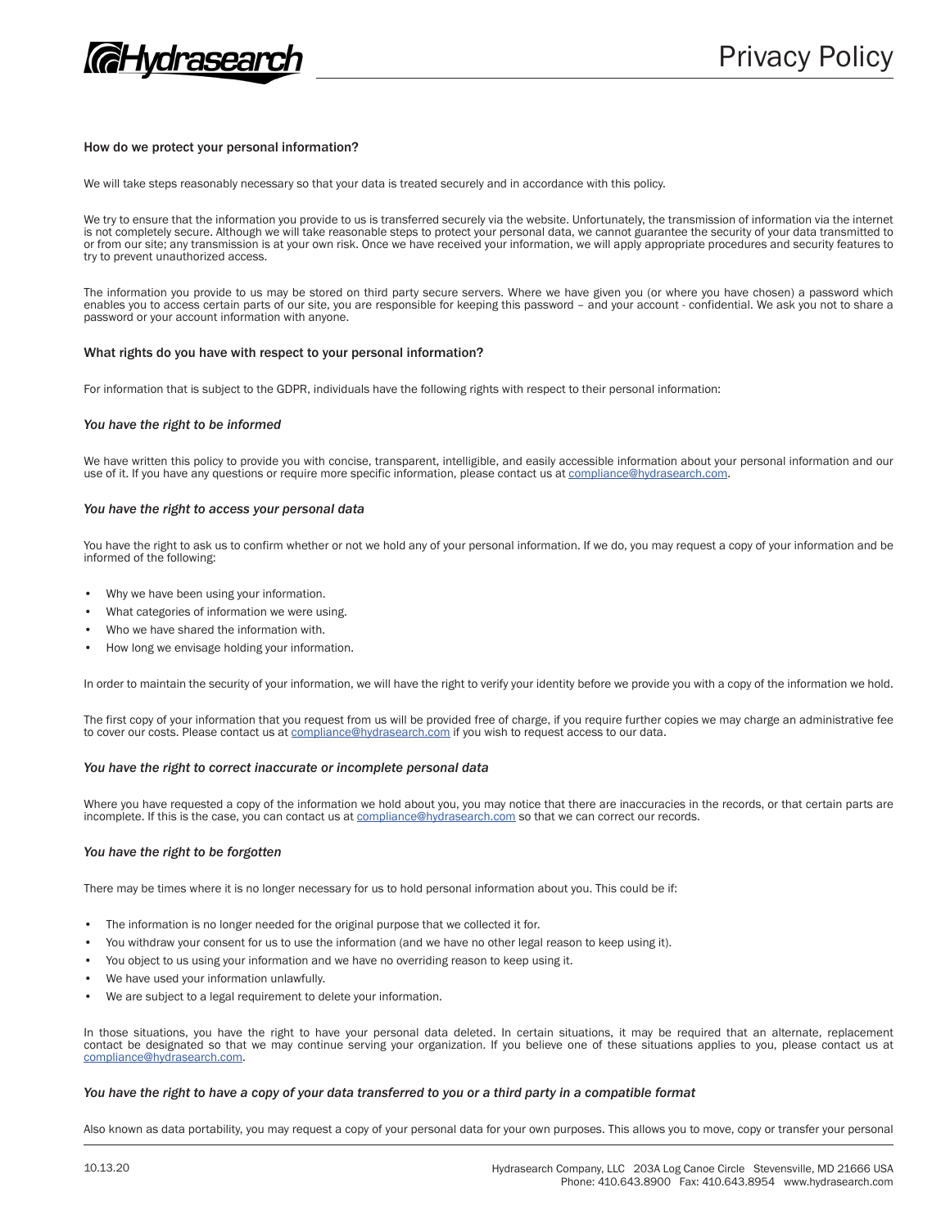

# How do we protect your personal information?

We will take steps reasonably necessary so that your data is treated securely and in accordance with this policy.

We try to ensure that the information you provide to us is transferred securely via the website. Unfortunately, the transmission of information via the internet is not completely secure. Although we will take reasonable steps to protect your personal data, we cannot guarantee the security of your data transmitted to or from our site; any transmission is at your own risk. Once we have received your information, we will apply appropriate procedures and security features to try to prevent unauthorized access.

The information you provide to us may be stored on third party secure servers. Where we have given you (or where you have chosen) a password which enables you to access certain parts of our site, you are responsible for keeping this password – and your account - confidential. We ask you not to share a password or your account information with anyone.

#### What rights do you have with respect to your personal information?

For information that is subject to the GDPR, individuals have the following rights with respect to their personal information:

## *You have the right to be informed*

We have written this policy to provide you with concise, transparent, intelligible, and easily accessible information about your personal information and our use of it. If you have any questions or require more specific information, please contact us at compliance@hydrasearch.com.

#### *You have the right to access your personal data*

You have the right to ask us to confirm whether or not we hold any of your personal information. If we do, you may request a copy of your information and be informed of the following:

- Why we have been using your information.
- What categories of information we were using.
- Who we have shared the information with.
- How long we envisage holding your information.

In order to maintain the security of your information, we will have the right to verify your identity before we provide you with a copy of the information we hold.

The first copy of your information that you request from us will be provided free of charge, if you require further copies we may charge an administrative fee to cover our costs. Please contact us at compliance@hydrasearch.com if you wish to request access to our data.

#### *You have the right to correct inaccurate or incomplete personal data*

Where you have requested a copy of the information we hold about you, you may notice that there are inaccuracies in the records, or that certain parts are incomplete. If this is the case, you can contact us at compliance@hydrasearch.com so that we can correct our records.

# *You have the right to be forgotten*

There may be times where it is no longer necessary for us to hold personal information about you. This could be if:

- The information is no longer needed for the original purpose that we collected it for.
- You withdraw your consent for us to use the information (and we have no other legal reason to keep using it).
- You object to us using your information and we have no overriding reason to keep using it.
- We have used your information unlawfully.
- We are subject to a legal requirement to delete your information.

In those situations, you have the right to have your personal data deleted. In certain situations, it may be required that an alternate, replacement contact be designated so that we may continue serving your organization. If you believe one of these situations applies to you, please contact us at compliance@hydrasearch.com.

## *You have the right to have a copy of your data transferred to you or a third party in a compatible format*

Also known as data portability, you may request a copy of your personal data for your own purposes. This allows you to move, copy or transfer your personal